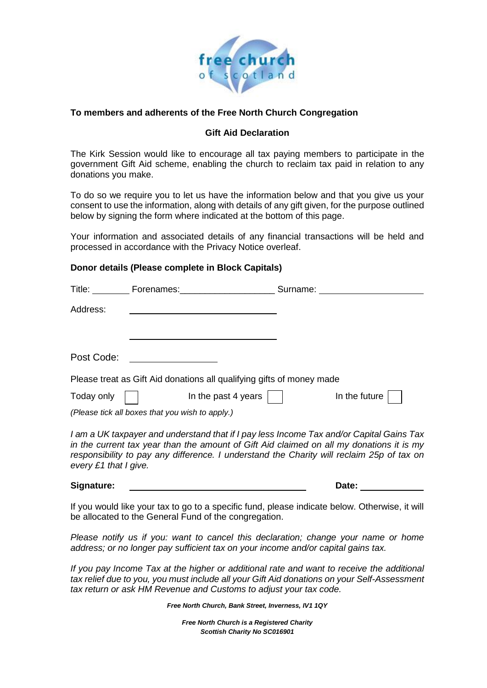

## **To members and adherents of the Free North Church Congregation**

## **Gift Aid Declaration**

The Kirk Session would like to encourage all tax paying members to participate in the government Gift Aid scheme, enabling the church to reclaim tax paid in relation to any donations you make.

To do so we require you to let us have the information below and that you give us your consent to use the information, along with details of any gift given, for the purpose outlined below by signing the form where indicated at the bottom of this page.

Your information and associated details of any financial transactions will be held and processed in accordance with the Privacy Notice overleaf.

#### **Donor details (Please complete in Block Capitals)**

| Please treat as Gift Aid donations all qualifying gifts of money made |  |  |  |  |
|-----------------------------------------------------------------------|--|--|--|--|
|                                                                       |  |  |  |  |
|                                                                       |  |  |  |  |
|                                                                       |  |  |  |  |

*I am a UK taxpayer and understand that if I pay less Income Tax and/or Capital Gains Tax in the current tax year than the amount of Gift Aid claimed on all my donations it is my responsibility to pay any difference. I understand the Charity will reclaim 25p of tax on every £1 that I give.*

#### **Signature: Date:**

If you would like your tax to go to a specific fund, please indicate below. Otherwise, it will be allocated to the General Fund of the congregation.

*Please notify us if you: want to cancel this declaration; change your name or home address; or no longer pay sufficient tax on your income and/or capital gains tax.*

*If you pay Income Tax at the higher or additional rate and want to receive the additional tax relief due to you, you must include all your Gift Aid donations on your Self-Assessment tax return or ask HM Revenue and Customs to adjust your tax code.*

*Free North Church, Bank Street, Inverness, IV1 1QY*

*Free North Church is a Registered Charity Scottish Charity No SC016901*